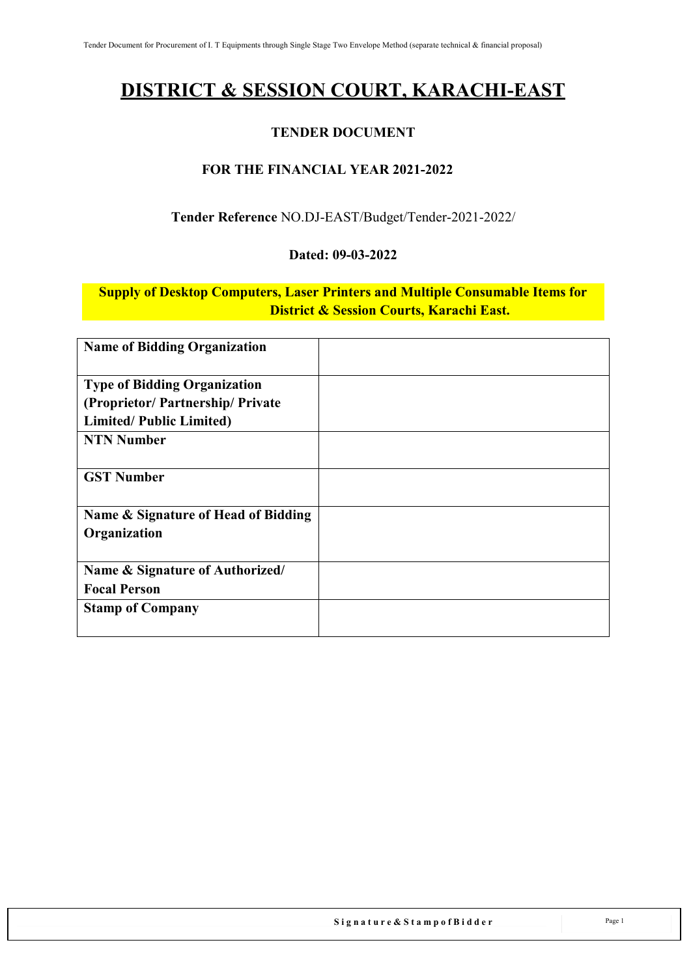# **DISTRICT & SESSION COURT, KARACHI-EAST**

### **TENDER DOCUMENT**

### **FOR THE FINANCIAL YEAR 2021-2022**

### **Tender Reference** NO.DJ-EAST/Budget/Tender-2021-2022/

#### **Dated: 09-03-2022**

**Supply of Desktop Computers, Laser Printers and Multiple Consumable Items for District & Session Courts, Karachi East.**

| <b>Name of Bidding Organization</b>                                    |  |
|------------------------------------------------------------------------|--|
| <b>Type of Bidding Organization</b><br>(Proprietor/Partnership/Private |  |
| <b>Limited/Public Limited)</b>                                         |  |
| <b>NTN Number</b>                                                      |  |
| <b>GST Number</b>                                                      |  |
| Name & Signature of Head of Bidding                                    |  |
| Organization                                                           |  |
| Name & Signature of Authorized/                                        |  |
| <b>Focal Person</b>                                                    |  |
| <b>Stamp of Company</b>                                                |  |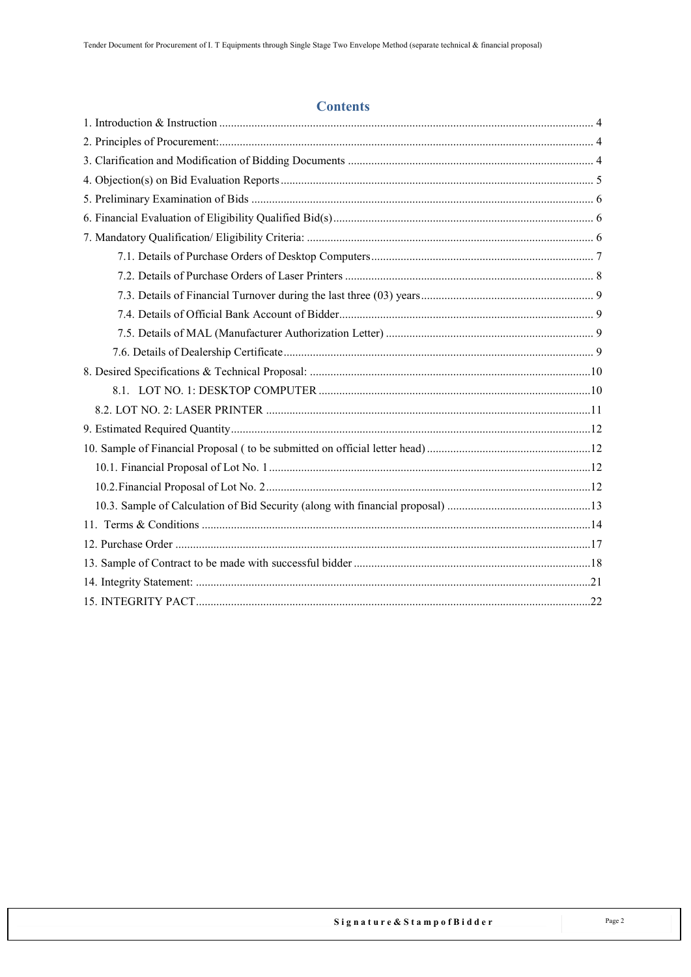#### **Contents**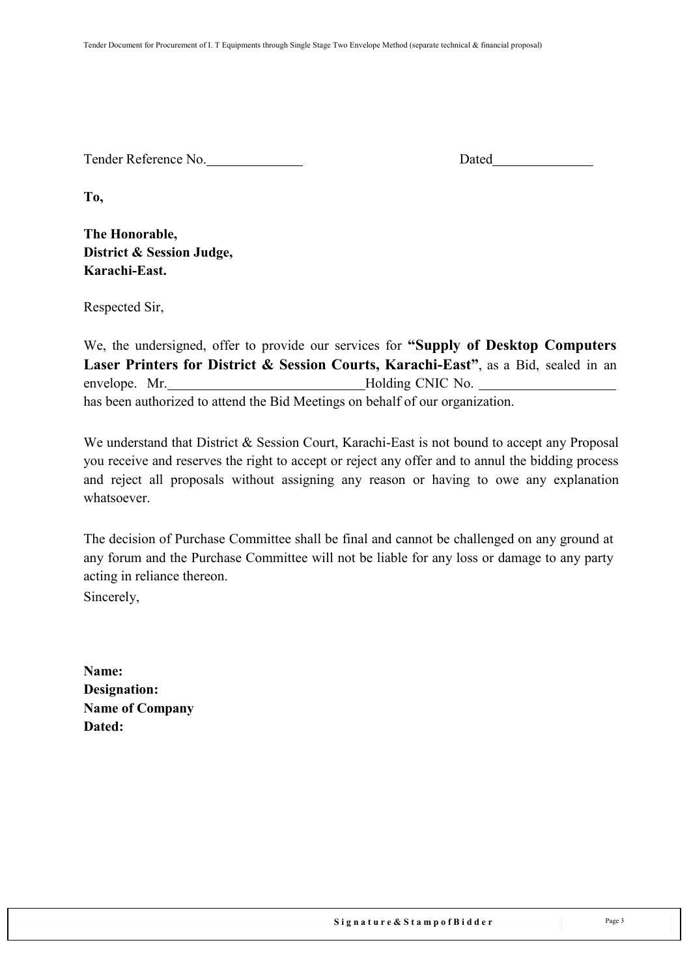Tender Reference No. Dated

**To,**

**The Honorable, District & Session Judge, Karachi-East.**

Respected Sir,

We, the undersigned, offer to provide our services for **"Supply of Desktop Computers Laser Printers for District & Session Courts, Karachi-East"**, as a Bid, sealed in an envelope. Mr. Holding CNIC No. has been authorized to attend the Bid Meetings on behalf of our organization.

We understand that District & Session Court, Karachi-East is not bound to accept any Proposal you receive and reserves the right to accept or reject any offer and to annul the bidding process and reject all proposals without assigning any reason or having to owe any explanation whatsoever.

The decision of Purchase Committee shall be final and cannot be challenged on any ground at any forum and the Purchase Committee will not be liable for any loss or damage to any party acting in reliance thereon.

Sincerely,

**Name: Designation: Name of Company Dated:**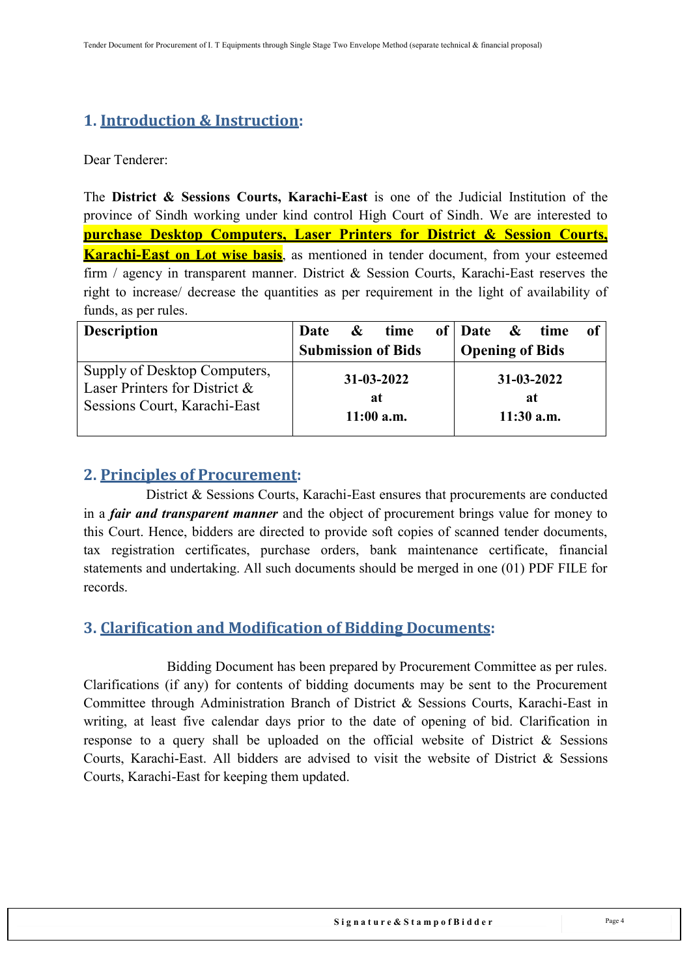# <span id="page-3-0"></span>**1. Introduction & Instruction:**

Dear Tenderer:

The **District & Sessions Courts, Karachi-East** is one of the Judicial Institution of the province of [Sindh](https://en.wikipedia.org/wiki/Sindh) working under kind control High Court of Sindh. We are interested to **purchase Desktop Computers, Laser Printers for District & Session Courts, Karachi-East on Lot wise basis**, as mentioned in tender document, from your esteemed firm / agency in transparent manner. District & Session Courts, Karachi-East reserves the right to increase/ decrease the quantities as per requirement in the light of availability of funds, as per rules.

| <b>Description</b>                                                                            | Date | $\&$ time                              | of Date & time         |                                        | 0t |
|-----------------------------------------------------------------------------------------------|------|----------------------------------------|------------------------|----------------------------------------|----|
|                                                                                               |      | <b>Submission of Bids</b>              | <b>Opening of Bids</b> |                                        |    |
| Supply of Desktop Computers,<br>Laser Printers for District &<br>Sessions Court, Karachi-East |      | $31 - 03 - 2022$<br>at<br>$11:00$ a.m. |                        | $31 - 03 - 2022$<br>at<br>$11:30$ a.m. |    |

### <span id="page-3-1"></span>**2. Principles of Procurement:**

District & Sessions Courts, Karachi-East ensures that procurements are conducted in a *fair and transparent manner* and the object of procurement brings value for money to this Court. Hence, bidders are directed to provide soft copies of scanned tender documents, tax registration certificates, purchase orders, bank maintenance certificate, financial statements and undertaking. All such documents should be merged in one (01) PDF FILE for records.

## <span id="page-3-2"></span>**3. Clarification and Modification of Bidding Documents:**

Bidding Document has been prepared by Procurement Committee as per rules. Clarifications (if any) for contents of bidding documents may be sent to the Procurement Committee through Administration Branch of District & Sessions Courts, Karachi-East in writing, at least five calendar days prior to the date of opening of bid. Clarification in response to a query shall be uploaded on the official website of District & Sessions Courts, Karachi-East. All bidders are advised to visit the website of District & Sessions Courts, Karachi-East for keeping them updated.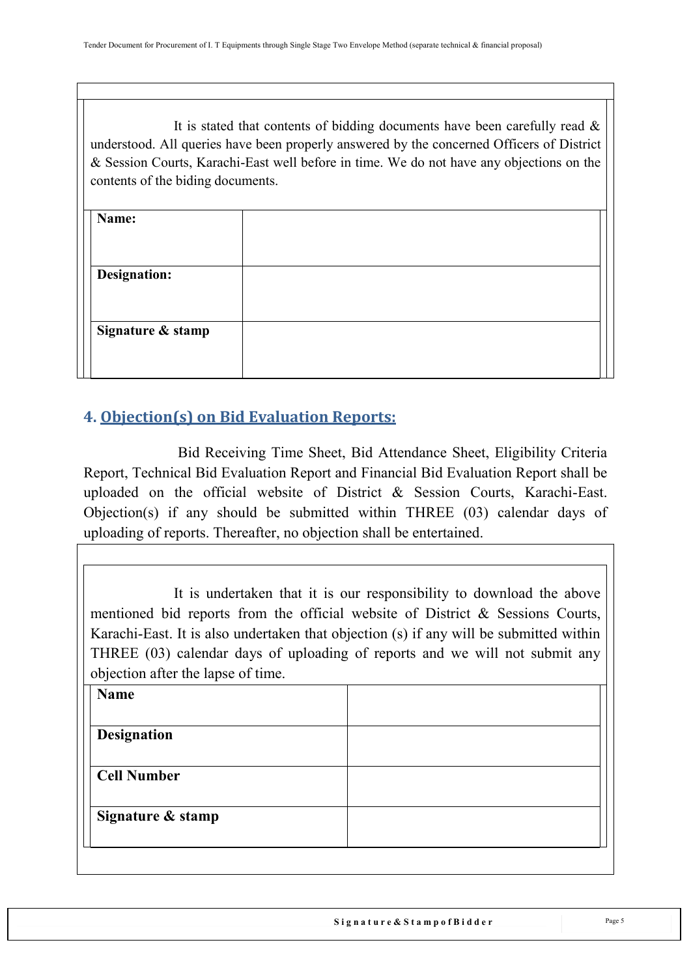It is stated that contents of bidding documents have been carefully read  $\&$ understood. All queries have been properly answered by the concerned Officers of District & Session Courts, Karachi-East well before in time. We do not have any objections on the contents of the biding documents.

| Name:               |  |
|---------------------|--|
|                     |  |
| <b>Designation:</b> |  |
|                     |  |
| Signature & stamp   |  |
|                     |  |
|                     |  |

# <span id="page-4-0"></span>**4. Objection(s) on Bid Evaluation Reports:**

Bid Receiving Time Sheet, Bid Attendance Sheet, Eligibility Criteria Report, Technical Bid Evaluation Report and Financial Bid Evaluation Report shall be uploaded on the official website of District & Session Courts, Karachi-East. Objection(s) if any should be submitted within THREE (03) calendar days of uploading of reports. Thereafter, no objection shall be entertained.

It is undertaken that it is our responsibility to download the above mentioned bid reports from the official website of District & Sessions Courts, Karachi-East. It is also undertaken that objection (s) if any will be submitted within THREE (03) calendar days of uploading of reports and we will not submit any objection after the lapse of time.

| <b>Name</b>        |  |
|--------------------|--|
|                    |  |
| <b>Designation</b> |  |
| <b>Cell Number</b> |  |
| Signature & stamp  |  |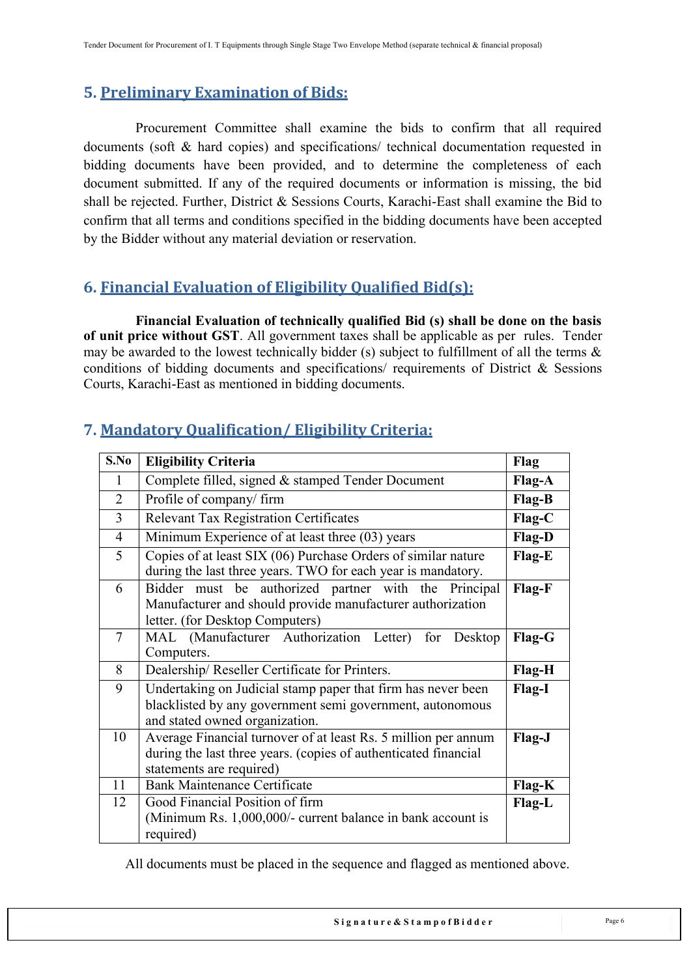## <span id="page-5-0"></span>**5. Preliminary Examination of Bids:**

Procurement Committee shall examine the bids to confirm that all required documents (soft & hard copies) and specifications/ technical documentation requested in bidding documents have been provided, and to determine the completeness of each document submitted. If any of the required documents or information is missing, the bid shall be rejected. Further, District & Sessions Courts, Karachi-East shall examine the Bid to confirm that all terms and conditions specified in the bidding documents have been accepted by the Bidder without any material deviation or reservation.

## <span id="page-5-1"></span>**6. Financial Evaluation of Eligibility Qualified Bid(s):**

**Financial Evaluation of technically qualified Bid (s) shall be done on the basis of unit price without GST**. All government taxes shall be applicable as per rules. Tender may be awarded to the lowest technically bidder (s) subject to fulfillment of all the terms & conditions of bidding documents and specifications/ requirements of District & Sessions Courts, Karachi-East as mentioned in bidding documents.

| S.No           | <b>Eligibility Criteria</b>                                                                                                                                   | Flag          |
|----------------|---------------------------------------------------------------------------------------------------------------------------------------------------------------|---------------|
| 1              | Complete filled, signed & stamped Tender Document                                                                                                             | Flag-A        |
| $\overline{2}$ | Profile of company/firm                                                                                                                                       | Flag-B        |
| $\overline{3}$ | <b>Relevant Tax Registration Certificates</b>                                                                                                                 | $Flag-C$      |
| $\overline{4}$ | Minimum Experience of at least three (03) years                                                                                                               | <b>Flag-D</b> |
| 5              | Copies of at least SIX (06) Purchase Orders of similar nature<br>during the last three years. TWO for each year is mandatory.                                 | Flag-E        |
| 6              | Bidder must be authorized partner with the Principal<br>Manufacturer and should provide manufacturer authorization<br>letter. (for Desktop Computers)         | Flag-F        |
| 7              | MAL (Manufacturer Authorization Letter) for Desktop<br>Computers.                                                                                             | Flag-G        |
| 8              | Dealership/Reseller Certificate for Printers.                                                                                                                 | Flag-H        |
| 9              | Undertaking on Judicial stamp paper that firm has never been<br>blacklisted by any government semi government, autonomous<br>and stated owned organization.   | Flag-I        |
| 10             | Average Financial turnover of at least Rs. 5 million per annum<br>during the last three years. (copies of authenticated financial<br>statements are required) |               |
| 11             | <b>Bank Maintenance Certificate</b>                                                                                                                           | Flag-K        |
| 12             | Good Financial Position of firm<br>(Minimum Rs. 1,000,000/- current balance in bank account is<br>required)                                                   | Flag-L        |

## <span id="page-5-2"></span>**7. Mandatory Qualification/ Eligibility Criteria:**

All documents must be placed in the sequence and flagged as mentioned above.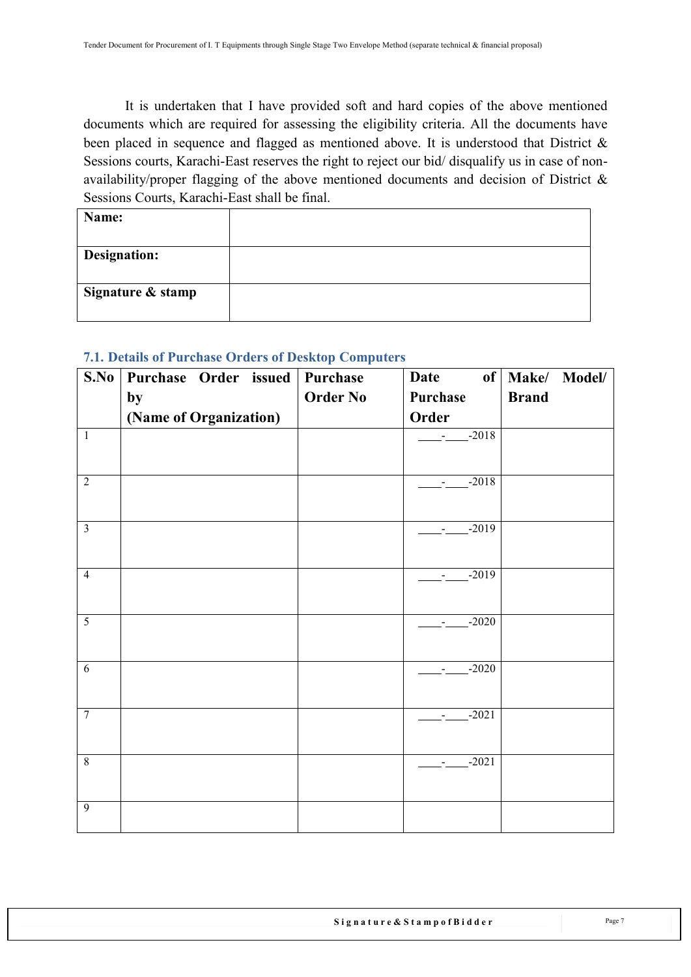It is undertaken that I have provided soft and hard copies of the above mentioned documents which are required for assessing the eligibility criteria. All the documents have been placed in sequence and flagged as mentioned above. It is understood that District & Sessions courts, Karachi-East reserves the right to reject our bid/ disqualify us in case of nonavailability/proper flagging of the above mentioned documents and decision of District & Sessions Courts, Karachi-East shall be final.

| Name:               |  |
|---------------------|--|
|                     |  |
| <b>Designation:</b> |  |
|                     |  |
| Signature & stamp   |  |
|                     |  |

| S.No                    | Purchase Order issued  | Purchase        | Date     | of   Make/ Model/ |
|-------------------------|------------------------|-----------------|----------|-------------------|
|                         | by                     | <b>Order No</b> | Purchase | <b>Brand</b>      |
|                         | (Name of Organization) |                 | Order    |                   |
| $\overline{1}$          |                        |                 | $-2018$  |                   |
| $\overline{2}$          |                        |                 | $-2018$  |                   |
| $\overline{\mathbf{3}}$ |                        |                 | $-2019$  |                   |
| $\overline{4}$          |                        |                 | $-2019$  |                   |
| $\overline{5}$          |                        |                 | $-2020$  |                   |
| 6                       |                        |                 | $-2020$  |                   |
| $\overline{7}$          |                        |                 | $-2021$  |                   |
| $\overline{8}$          |                        |                 | $-2021$  |                   |
| $\overline{9}$          |                        |                 |          |                   |

### <span id="page-6-0"></span>**7.1. Details of Purchase Orders of Desktop Computers**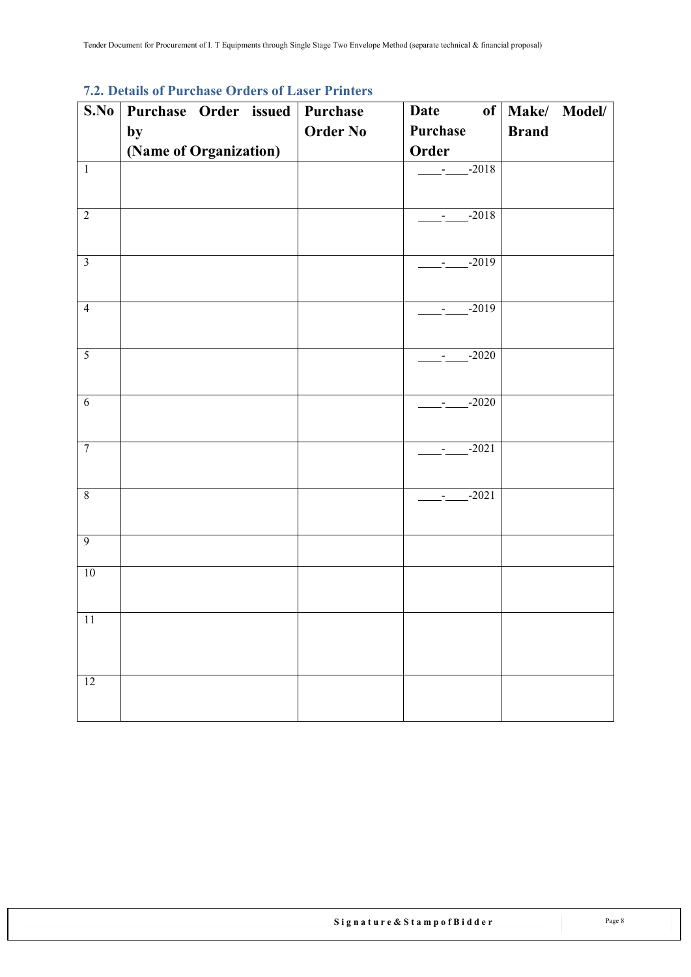<span id="page-7-0"></span>

| $\mathbf{r}$ .<br>S.No  | . Details of<br>1 ui viito<br>Purchase Order issued   Purchase | OT GUIS OF EASURE FILITURES | Date     | of   Make/ Model/ |
|-------------------------|----------------------------------------------------------------|-----------------------------|----------|-------------------|
|                         |                                                                | <b>Order No</b>             | Purchase | <b>Brand</b>      |
|                         | by                                                             |                             | Order    |                   |
|                         | (Name of Organization)                                         |                             |          |                   |
| $\overline{1}$          |                                                                |                             | $-2018$  |                   |
|                         |                                                                |                             |          |                   |
| $\overline{2}$          |                                                                |                             | $-2018$  |                   |
|                         |                                                                |                             |          |                   |
|                         |                                                                |                             |          |                   |
| $\overline{\mathbf{3}}$ |                                                                |                             | $-2019$  |                   |
|                         |                                                                |                             |          |                   |
| $\overline{4}$          |                                                                |                             | $-2019$  |                   |
|                         |                                                                |                             |          |                   |
| $\overline{5}$          |                                                                |                             | $-2020$  |                   |
|                         |                                                                |                             |          |                   |
|                         |                                                                |                             |          |                   |
| $\sqrt{6}$              |                                                                |                             | $-2020$  |                   |
|                         |                                                                |                             |          |                   |
| $\overline{7}$          |                                                                |                             | $-2021$  |                   |
|                         |                                                                |                             |          |                   |
|                         |                                                                |                             |          |                   |
| $\overline{8}$          |                                                                |                             | $-2021$  |                   |
|                         |                                                                |                             |          |                   |
| $\overline{9}$          |                                                                |                             |          |                   |
|                         |                                                                |                             |          |                   |
| 10                      |                                                                |                             |          |                   |
|                         |                                                                |                             |          |                   |
| $11\,$                  |                                                                |                             |          |                   |
|                         |                                                                |                             |          |                   |
|                         |                                                                |                             |          |                   |
|                         |                                                                |                             |          |                   |
| $\overline{12}$         |                                                                |                             |          |                   |
|                         |                                                                |                             |          |                   |

#### **7.2. Details of Purchase Orders of Laser Printers**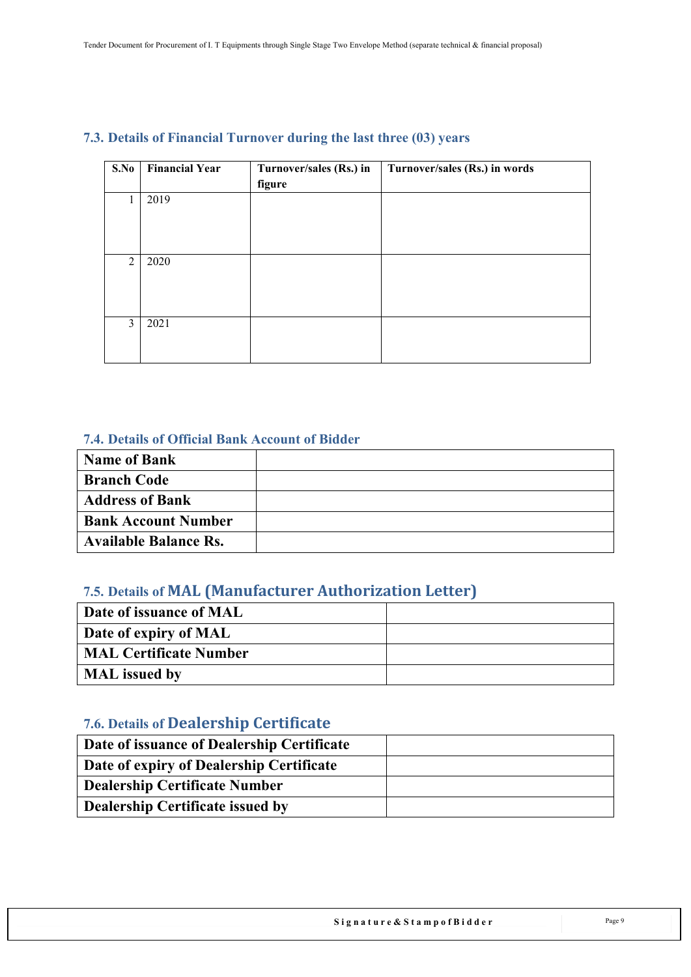| S.No           | <b>Financial Year</b> | Turnover/sales (Rs.) in | Turnover/sales (Rs.) in words |
|----------------|-----------------------|-------------------------|-------------------------------|
|                |                       | figure                  |                               |
| 1              | 2019                  |                         |                               |
|                |                       |                         |                               |
|                |                       |                         |                               |
|                |                       |                         |                               |
| $\overline{2}$ | 2020                  |                         |                               |
|                |                       |                         |                               |
|                |                       |                         |                               |
|                |                       |                         |                               |
| 3              | 2021                  |                         |                               |
|                |                       |                         |                               |
|                |                       |                         |                               |

### <span id="page-8-0"></span>**7.3. Details of Financial Turnover during the last three (03) years**

### **7.4. Details of Official Bank Account of Bidder**

<span id="page-8-1"></span>

| Name of Bank                 |  |
|------------------------------|--|
| <b>Branch Code</b>           |  |
| <b>Address of Bank</b>       |  |
| <b>Bank Account Number</b>   |  |
| <b>Available Balance Rs.</b> |  |

### <span id="page-8-2"></span>**7.5. Details of MAL (Manufacturer Authorization Letter)**

| Date of issuance of MAL       |  |
|-------------------------------|--|
| Date of expiry of MAL         |  |
| <b>MAL Certificate Number</b> |  |
| <b>MAL</b> issued by          |  |

# <span id="page-8-3"></span>**7.6. Details of Dealership Certificate**

| Date of issuance of Dealership Certificate |  |
|--------------------------------------------|--|
| Date of expiry of Dealership Certificate   |  |
| <b>Dealership Certificate Number</b>       |  |
| <b>Dealership Certificate issued by</b>    |  |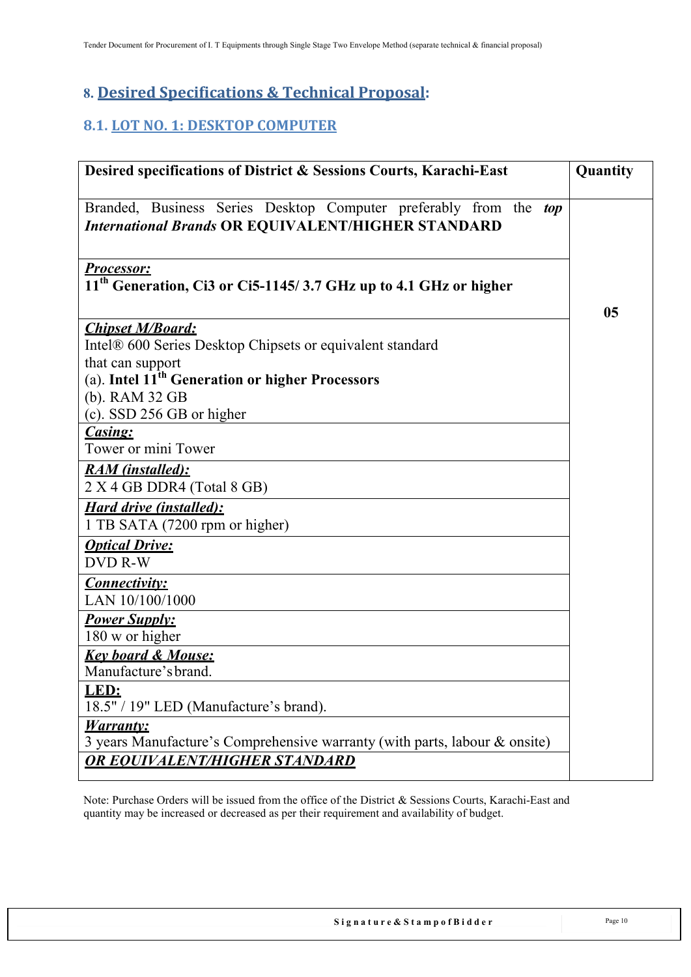## <span id="page-9-0"></span>**8. Desired Specifications & Technical Proposal:**

## <span id="page-9-1"></span>**8.1. LOT NO. 1: DESKTOP COMPUTER**

| Desired specifications of District & Sessions Courts, Karachi-East                                                              | Quantity       |
|---------------------------------------------------------------------------------------------------------------------------------|----------------|
| Branded, Business Series Desktop Computer preferably from the top<br><b>International Brands OR EQUIVALENT/HIGHER STANDARD</b>  |                |
| <b>Processor:</b><br>11 <sup>th</sup> Generation, Ci3 or Ci5-1145/3.7 GHz up to 4.1 GHz or higher                               | 0 <sub>5</sub> |
| <b>Chipset M/Board:</b><br>Intel® 600 Series Desktop Chipsets or equivalent standard<br>that can support                        |                |
| (a). Intel 11 <sup>th</sup> Generation or higher Processors<br>(b). RAM 32 GB<br>(c). SSD 256 GB or higher                      |                |
| Casing:<br>Tower or mini Tower                                                                                                  |                |
| <b>RAM</b> (installed):<br>2 X 4 GB DDR4 (Total 8 GB)                                                                           |                |
| <b>Hard drive (installed):</b><br>1 TB SATA (7200 rpm or higher)                                                                |                |
| <b>Optical Drive:</b><br><b>DVD R-W</b>                                                                                         |                |
| <b>Connectivity:</b><br>LAN 10/100/1000                                                                                         |                |
| <b>Power Supply:</b><br>180 w or higher                                                                                         |                |
| <b>Key board &amp; Mouse:</b><br>Manufacture's brand.                                                                           |                |
| LED:<br>18.5" / 19" LED (Manufacture's brand).                                                                                  |                |
| <b>Warranty:</b><br>3 years Manufacture's Comprehensive warranty (with parts, labour & onsite)<br>OR EOUIVALENT/HIGHER STANDARD |                |

Note: Purchase Orders will be issued from the office of the District & Sessions Courts, Karachi-East and quantity may be increased or decreased as per their requirement and availability of budget.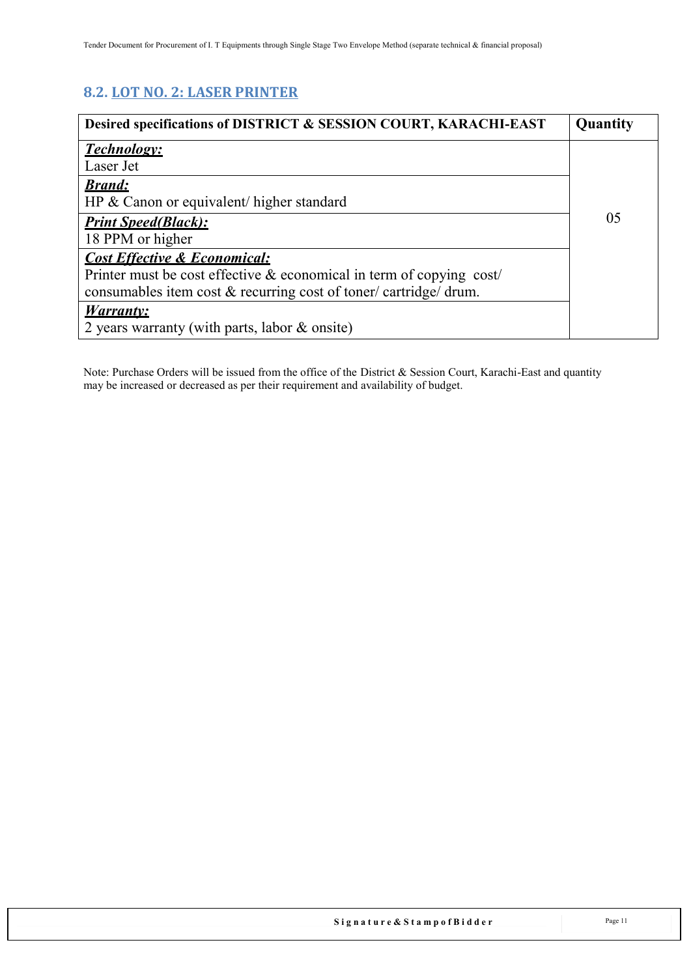## <span id="page-10-0"></span>**8.2. LOT NO. 2: LASER PRINTER**

| Desired specifications of DISTRICT & SESSION COURT, KARACHI-EAST        | Quantity |
|-------------------------------------------------------------------------|----------|
| <b>Technology:</b>                                                      |          |
| Laser Jet                                                               |          |
| <b>Brand:</b>                                                           |          |
| HP & Canon or equivalent/ higher standard                               |          |
| <b>Print Speed(Black):</b>                                              | 05       |
| 18 PPM or higher                                                        |          |
| <b>Cost Effective &amp; Economical:</b>                                 |          |
| Printer must be cost effective $\&$ economical in term of copying cost/ |          |
| consumables item cost & recurring cost of toner/cartridge/drum.         |          |
| <b>Warranty:</b>                                                        |          |
| 2 years warranty (with parts, labor & onsite)                           |          |

Note: Purchase Orders will be issued from the office of the District & Session Court, Karachi-East and quantity may be increased or decreased as per their requirement and availability of budget.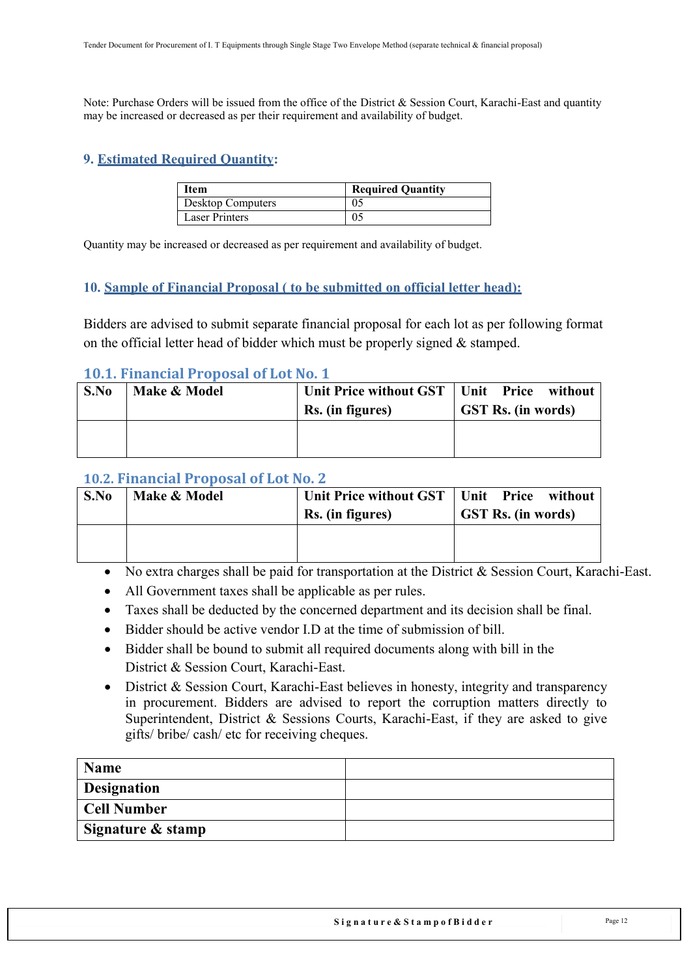Note: Purchase Orders will be issued from the office of the District & Session Court, Karachi-East and quantity may be increased or decreased as per their requirement and availability of budget.

### <span id="page-11-0"></span>**9. Estimated Required Quantity:**

| <b>Item</b>              | <b>Required Quantity</b> |
|--------------------------|--------------------------|
| <b>Desktop Computers</b> |                          |
| <b>Laser Printers</b>    |                          |

Quantity may be increased or decreased as per requirement and availability of budget.

#### <span id="page-11-1"></span>**10. Sample of Financial Proposal ( to be submitted on official letter head):**

Bidders are advised to submit separate financial proposal for each lot as per following format on the official letter head of bidder which must be properly signed & stamped.

### <span id="page-11-2"></span>**10.1. Financial Proposal of Lot No. 1**

| S.No | Make & Model | Unit Price without GST  <br>Rs. (in figures) | Unit Price without<br><b>GST Rs.</b> (in words) |
|------|--------------|----------------------------------------------|-------------------------------------------------|
|      |              |                                              |                                                 |

### <span id="page-11-3"></span>**10.2. Financial Proposal of Lot No. 2**

| S.No | Make & Model | Unit Price without GST<br>Rs. (in figures) | Unit Price without<br><b>GST Rs. (in words)</b> |
|------|--------------|--------------------------------------------|-------------------------------------------------|
|      |              |                                            |                                                 |

- No extra charges shall be paid for transportation at the District & Session Court, Karachi-East.
- All Government taxes shall be applicable as per rules.
- Taxes shall be deducted by the concerned department and its decision shall be final.
- Bidder should be active vendor I.D at the time of submission of bill.
- Bidder shall be bound to submit all required documents along with bill in the District & Session Court, Karachi-East.
- District & Session Court, Karachi-East believes in honesty, integrity and transparency in procurement. Bidders are advised to report the corruption matters directly to Superintendent, District & Sessions Courts, Karachi-East, if they are asked to give gifts/ bribe/ cash/ etc for receiving cheques.

| Name               |  |
|--------------------|--|
| <b>Designation</b> |  |
| Cell Number        |  |
| Signature & stamp  |  |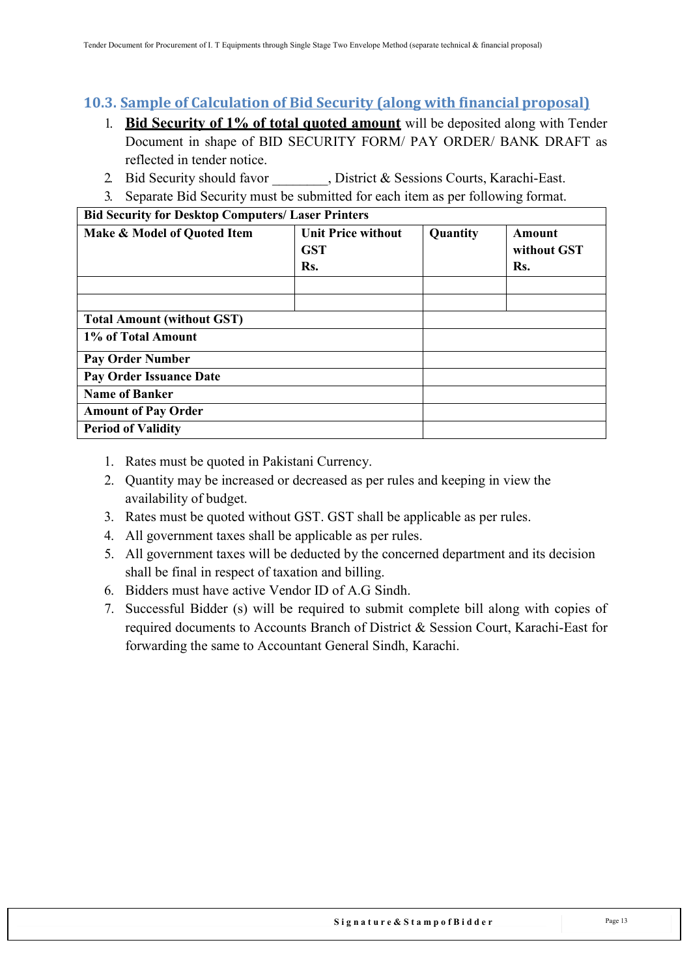### <span id="page-12-0"></span>**10.3. Sample of Calculation of Bid Security (along with financial proposal)**

- 1. **Bid Security of 1% of total quoted amount** will be deposited along with Tender Document in shape of BID SECURITY FORM/ PAY ORDER/ BANK DRAFT as reflected in tender notice.
- 2. Bid Security should favor , District & Sessions Courts, Karachi-East.
- 3. Separate Bid Security must be submitted for each item as per following format.

| <b>Bid Security for Desktop Computers/ Laser Printers</b> |                                                |          |                              |  |
|-----------------------------------------------------------|------------------------------------------------|----------|------------------------------|--|
| Make & Model of Quoted Item                               | <b>Unit Price without</b><br><b>GST</b><br>Rs. | Quantity | Amount<br>without GST<br>Rs. |  |
|                                                           |                                                |          |                              |  |
|                                                           |                                                |          |                              |  |
| <b>Total Amount (without GST)</b>                         |                                                |          |                              |  |
| 1% of Total Amount                                        |                                                |          |                              |  |
| <b>Pay Order Number</b>                                   |                                                |          |                              |  |
| <b>Pay Order Issuance Date</b>                            |                                                |          |                              |  |
| <b>Name of Banker</b>                                     |                                                |          |                              |  |
| <b>Amount of Pay Order</b>                                |                                                |          |                              |  |
| <b>Period of Validity</b>                                 |                                                |          |                              |  |

- 1. Rates must be quoted in Pakistani Currency.
- 2. Quantity may be increased or decreased as per rules and keeping in view the availability of budget.
- 3. Rates must be quoted without GST. GST shall be applicable as per rules.
- 4. All government taxes shall be applicable as per rules.
- 5. All government taxes will be deducted by the concerned department and its decision shall be final in respect of taxation and billing.
- 6. Bidders must have active Vendor ID of A.G Sindh.
- 7. Successful Bidder (s) will be required to submit complete bill along with copies of required documents to Accounts Branch of District & Session Court, Karachi-East for forwarding the same to Accountant General Sindh, Karachi.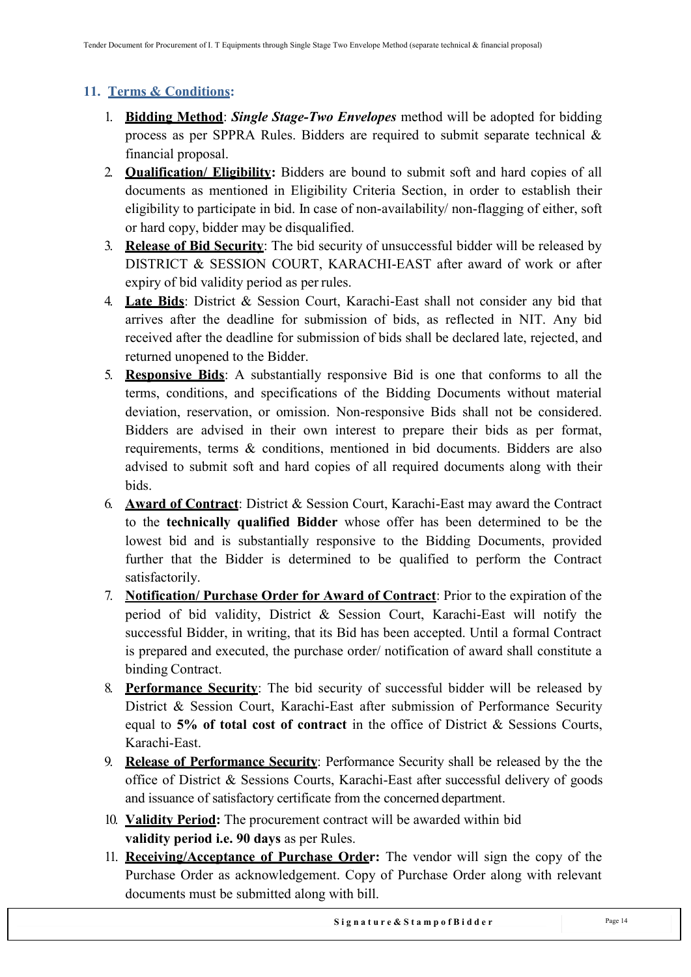### <span id="page-13-0"></span>**11. Terms & Conditions:**

- 1. **Bidding Method**: *Single Stage-Two Envelopes* method will be adopted for bidding process as per SPPRA Rules. Bidders are required to submit separate technical & financial proposal.
- 2. **Qualification/ Eligibility:** Bidders are bound to submit soft and hard copies of all documents as mentioned in Eligibility Criteria Section, in order to establish their eligibility to participate in bid. In case of non-availability/ non-flagging of either, soft or hard copy, bidder may be disqualified.
- 3. **Release of Bid Security**: The bid security of unsuccessful bidder will be released by DISTRICT & SESSION COURT, KARACHI-EAST after award of work or after expiry of bid validity period as per rules.
- 4. **Late Bids**: District & Session Court, Karachi-East shall not consider any bid that arrives after the deadline for submission of bids, as reflected in NIT. Any bid received after the deadline for submission of bids shall be declared late, rejected, and returned unopened to the Bidder.
- 5. **Responsive Bids**: A substantially responsive Bid is one that conforms to all the terms, conditions, and specifications of the Bidding Documents without material deviation, reservation, or omission. Non-responsive Bids shall not be considered. Bidders are advised in their own interest to prepare their bids as per format, requirements, terms & conditions, mentioned in bid documents. Bidders are also advised to submit soft and hard copies of all required documents along with their bids.
- 6. **Award of Contract**: District & Session Court, Karachi-East may award the Contract to the **technically qualified Bidder** whose offer has been determined to be the lowest bid and is substantially responsive to the Bidding Documents, provided further that the Bidder is determined to be qualified to perform the Contract satisfactorily.
- 7. **Notification/ Purchase Order for Award of Contract**: Prior to the expiration of the period of bid validity, District & Session Court, Karachi-East will notify the successful Bidder, in writing, that its Bid has been accepted. Until a formal Contract is prepared and executed, the purchase order/ notification of award shall constitute a binding Contract.
- 8. **Performance Security**: The bid security of successful bidder will be released by District & Session Court, Karachi-East after submission of Performance Security equal to **5% of total cost of contract** in the office of District & Sessions Courts, Karachi-East.
- 9. **Release of Performance Security**: Performance Security shall be released by the the office of District & Sessions Courts, Karachi-East after successful delivery of goods and issuance of satisfactory certificate from the concerned department.
- 10. **Validity Period:** The procurement contract will be awarded within bid **validity period i.e. 90 days** as per Rules.
- 11. **Receiving/Acceptance of Purchase Order:** The vendor will sign the copy of the Purchase Order as acknowledgement. Copy of Purchase Order along with relevant documents must be submitted along with bill.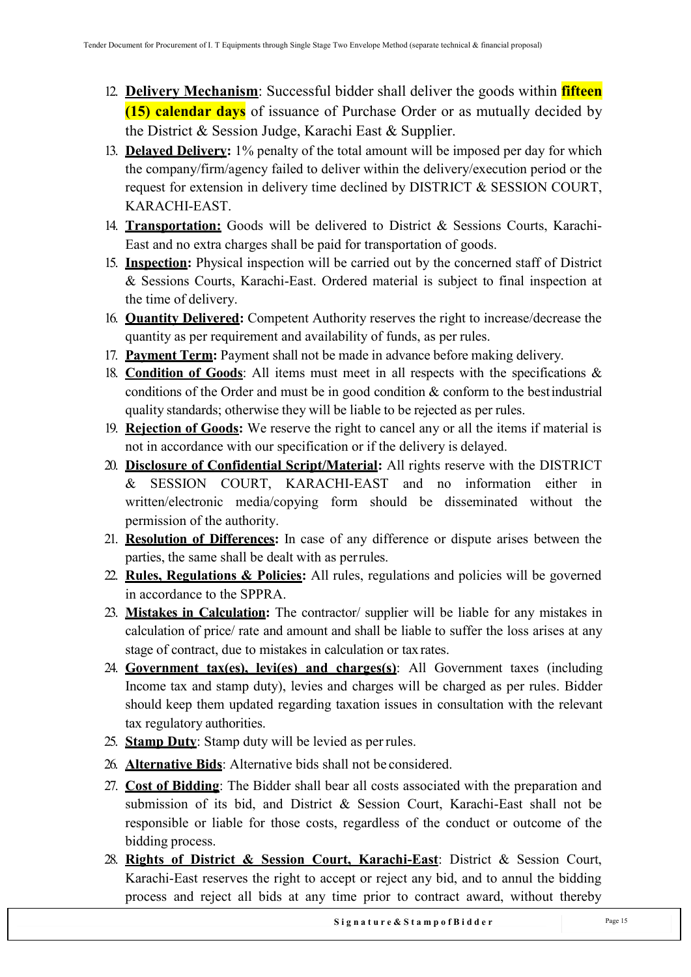- 12. **Delivery Mechanism**: Successful bidder shall deliver the goods within **fifteen (15) calendar days** of issuance of Purchase Order or as mutually decided by the District & Session Judge, Karachi East & Supplier.
- 13. **Delayed Delivery:** 1% penalty of the total amount will be imposed per day for which the company/firm/agency failed to deliver within the delivery/execution period or the request for extension in delivery time declined by DISTRICT & SESSION COURT, KARACHI-EAST.
- 14. **Transportation:** Goods will be delivered to District & Sessions Courts, Karachi-East and no extra charges shall be paid for transportation of goods.
- 15. **Inspection:** Physical inspection will be carried out by the concerned staff of District & Sessions Courts, Karachi-East. Ordered material is subject to final inspection at the time of delivery.
- 16. **Quantity Delivered:** Competent Authority reserves the right to increase/decrease the quantity as per requirement and availability of funds, as per rules.
- 17. **Payment Term:** Payment shall not be made in advance before making delivery.
- 18. **Condition of Goods**: All items must meet in all respects with the specifications & conditions of the Order and must be in good condition & conform to the bestindustrial quality standards; otherwise they will be liable to be rejected as per rules.
- 19. **Rejection of Goods:** We reserve the right to cancel any or all the items if material is not in accordance with our specification or if the delivery is delayed.
- 20. **Disclosure of Confidential Script/Material:** All rights reserve with the DISTRICT & SESSION COURT, KARACHI-EAST and no information either in written/electronic media/copying form should be disseminated without the permission of the authority.
- 21. **Resolution of Differences:** In case of any difference or dispute arises between the parties, the same shall be dealt with as perrules.
- 22. **Rules, Regulations & Policies:** All rules, regulations and policies will be governed in accordance to the SPPRA.
- 23. **Mistakes in Calculation:** The contractor/ supplier will be liable for any mistakes in calculation of price/ rate and amount and shall be liable to suffer the loss arises at any stage of contract, due to mistakes in calculation or tax rates.
- 24. **Government tax(es), levi(es) and charges(s)**: All Government taxes (including Income tax and stamp duty), levies and charges will be charged as per rules. Bidder should keep them updated regarding taxation issues in consultation with the relevant tax regulatory authorities.
- 25. **Stamp Duty**: Stamp duty will be levied as perrules.
- 26. **Alternative Bids**: Alternative bids shall not be considered.
- 27. **Cost of Bidding**: The Bidder shall bear all costs associated with the preparation and submission of its bid, and District & Session Court, Karachi-East shall not be responsible or liable for those costs, regardless of the conduct or outcome of the bidding process.
- 28. **Rights of District & Session Court, Karachi-East**: District & Session Court, Karachi-East reserves the right to accept or reject any bid, and to annul the bidding process and reject all bids at any time prior to contract award, without thereby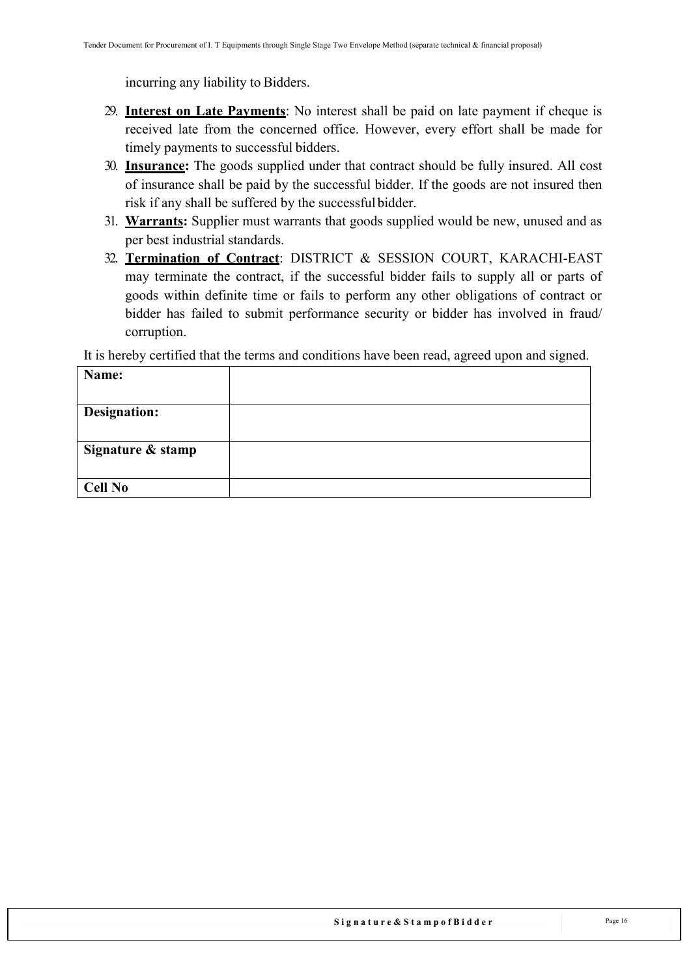incurring any liability to Bidders.

- 29. **Interest on Late Payments**: No interest shall be paid on late payment if cheque is received late from the concerned office. However, every effort shall be made for timely payments to successful bidders.
- 30. **Insurance:** The goods supplied under that contract should be fully insured. All cost of insurance shall be paid by the successful bidder. If the goods are not insured then risk if any shall be suffered by the successful bidder.
- 31. **Warrants:** Supplier must warrants that goods supplied would be new, unused and as per best industrial standards.
- 32. **Termination of Contract**: DISTRICT & SESSION COURT, KARACHI-EAST may terminate the contract, if the successful bidder fails to supply all or parts of goods within definite time or fails to perform any other obligations of contract or bidder has failed to submit performance security or bidder has involved in fraud/ corruption.

It is hereby certified that the terms and conditions have been read, agreed upon and signed.

| Name:               |  |
|---------------------|--|
|                     |  |
| <b>Designation:</b> |  |
|                     |  |
| Signature & stamp   |  |
|                     |  |
| <b>Cell No</b>      |  |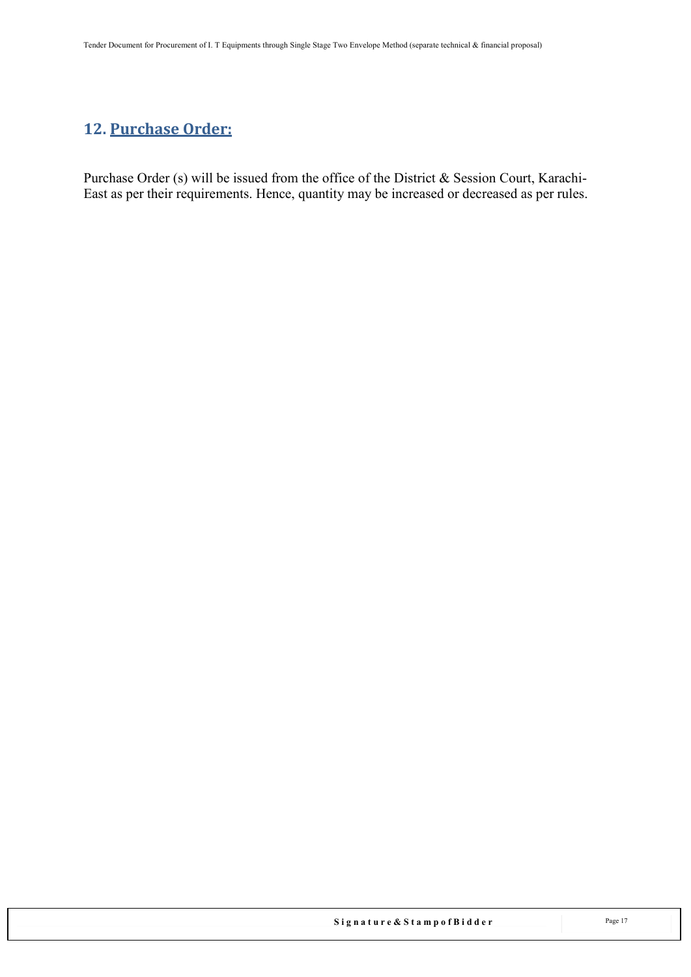## <span id="page-16-0"></span>**12. Purchase Order:**

Purchase Order (s) will be issued from the office of the District & Session Court, Karachi-East as per their requirements. Hence, quantity may be increased or decreased as per rules.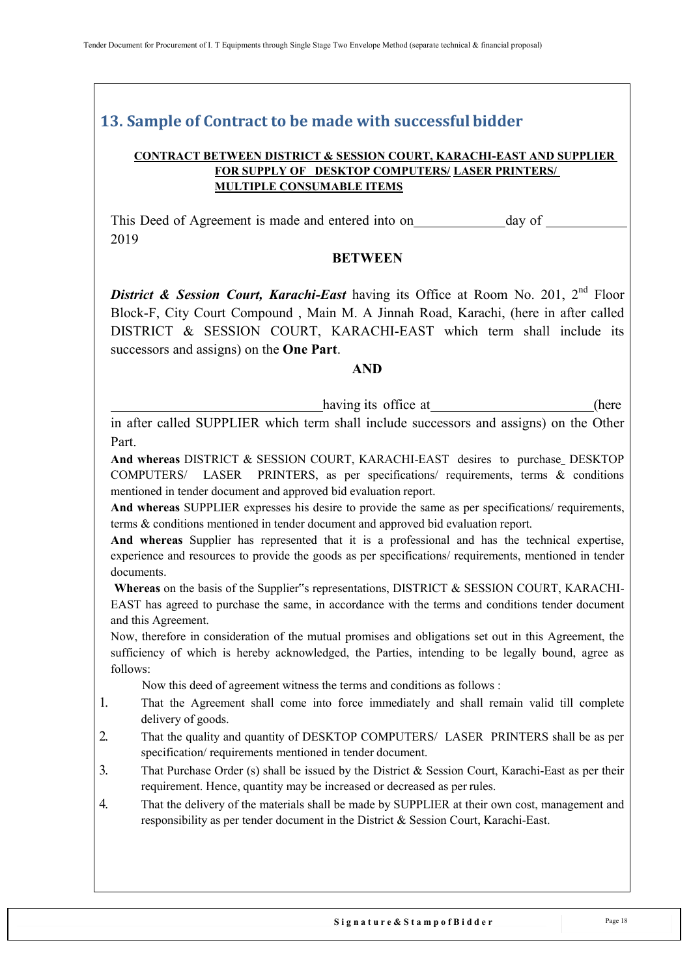### <span id="page-17-0"></span>**13. Sample of Contract to be made with successful bidder**

#### **CONTRACT BETWEEN DISTRICT & SESSION COURT, KARACHI-EAST AND SUPPLIER FOR SUPPLY OF \_DESKTOP COMPUTERS/ LASER PRINTERS/ MULTIPLE CONSUMABLE ITEMS**

This Deed of Agreement is made and entered into on day of 2019

#### **BETWEEN**

**District & Session Court, Karachi-East** having its Office at Room No. 201, 2<sup>nd</sup> Floor Block-F, City Court Compound , Main M. A Jinnah Road, Karachi, (here in after called DISTRICT & SESSION COURT, KARACHI-EAST which term shall include its successors and assigns) on the **One Part**.

#### **AND**

having its office at (here

in after called SUPPLIER which term shall include successors and assigns) on the Other Part.

**And whereas** DISTRICT & SESSION COURT, KARACHI-EAST desires to purchase DESKTOP COMPUTERS/ LASER PRINTERS, as per specifications/ requirements, terms & conditions mentioned in tender document and approved bid evaluation report.

**And whereas** SUPPLIER expresses his desire to provide the same as per specifications/ requirements, terms & conditions mentioned in tender document and approved bid evaluation report.

**And whereas** Supplier has represented that it is a professional and has the technical expertise, experience and resources to provide the goods as per specifications/ requirements, mentioned in tender documents.

**Whereas** on the basis of the Supplier"s representations, DISTRICT & SESSION COURT, KARACHI-EAST has agreed to purchase the same, in accordance with the terms and conditions tender document and this Agreement.

Now, therefore in consideration of the mutual promises and obligations set out in this Agreement, the sufficiency of which is hereby acknowledged, the Parties, intending to be legally bound, agree as follows:

Now this deed of agreement witness the terms and conditions as follows :

- 1. That the Agreement shall come into force immediately and shall remain valid till complete delivery of goods.
- 2. That the quality and quantity of DESKTOP COMPUTERS/ LASER PRINTERS shall be as per specification/ requirements mentioned in tender document.
- 3. That Purchase Order (s) shall be issued by the District & Session Court, Karachi-East as per their requirement. Hence, quantity may be increased or decreased as per rules.
- 4. That the delivery of the materials shall be made by SUPPLIER at their own cost, management and responsibility as per tender document in the District & Session Court, Karachi-East.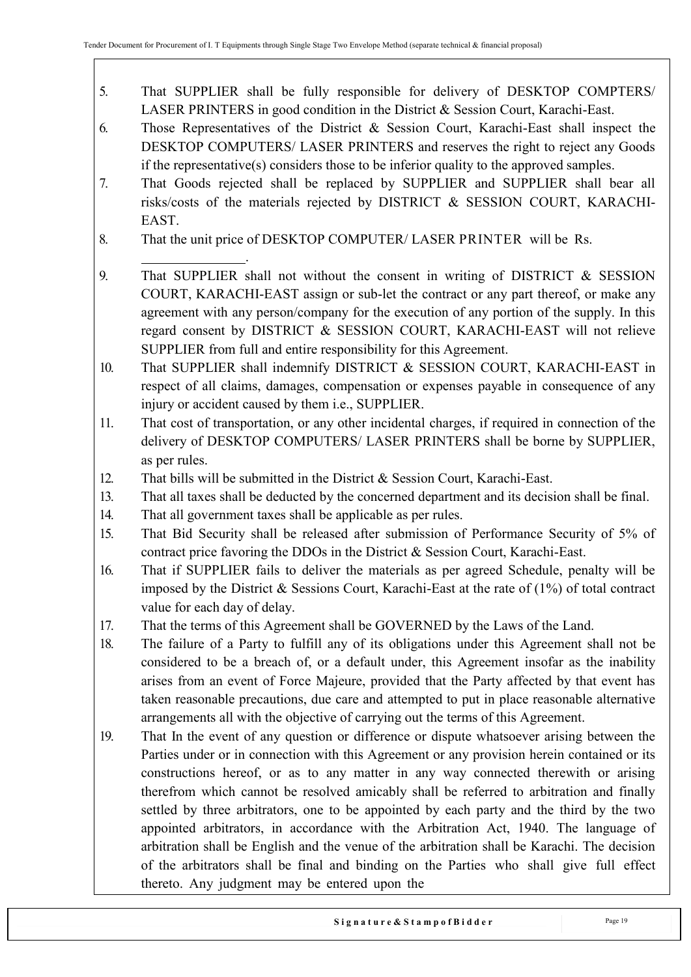- 5. That SUPPLIER shall be fully responsible for delivery of DESKTOP COMPTERS/ LASER PRINTERS in good condition in the District & Session Court, Karachi-East.
- 6. Those Representatives of the District & Session Court, Karachi-East shall inspect the DESKTOP COMPUTERS/ LASER PRINTERS and reserves the right to reject any Goods if the representative(s) considers those to be inferior quality to the approved samples.
- 7. That Goods rejected shall be replaced by SUPPLIER and SUPPLIER shall bear all risks/costs of the materials rejected by DISTRICT & SESSION COURT, KARACHI-EAST.
- 8. That the unit price of DESKTOP COMPUTER/ LASER PRINTER will be Rs.
- . 9. That SUPPLIER shall not without the consent in writing of DISTRICT & SESSION COURT, KARACHI-EAST assign or sub-let the contract or any part thereof, or make any agreement with any person/company for the execution of any portion of the supply. In this regard consent by DISTRICT & SESSION COURT, KARACHI-EAST will not relieve SUPPLIER from full and entire responsibility for this Agreement.
- 10. That SUPPLIER shall indemnify DISTRICT & SESSION COURT, KARACHI-EAST in respect of all claims, damages, compensation or expenses payable in consequence of any injury or accident caused by them i.e., SUPPLIER.
- 11. That cost of transportation, or any other incidental charges, if required in connection of the delivery of DESKTOP COMPUTERS/ LASER PRINTERS shall be borne by SUPPLIER, as per rules.
- 12. That bills will be submitted in the District & Session Court, Karachi-East.
- 13. That all taxes shall be deducted by the concerned department and its decision shall be final.
- 14. That all government taxes shall be applicable as per rules.
- 15. That Bid Security shall be released after submission of Performance Security of 5% of contract price favoring the DDOs in the District & Session Court, Karachi-East.
- 16. That if SUPPLIER fails to deliver the materials as per agreed Schedule, penalty will be imposed by the District & Sessions Court, Karachi-East at the rate of (1%) of total contract value for each day of delay.
- 17. That the terms of this Agreement shall be GOVERNED by the Laws of the Land.
- 18. The failure of a Party to fulfill any of its obligations under this Agreement shall not be considered to be a breach of, or a default under, this Agreement insofar as the inability arises from an event of Force Majeure, provided that the Party affected by that event has taken reasonable precautions, due care and attempted to put in place reasonable alternative arrangements all with the objective of carrying out the terms of this Agreement.
- 19. That In the event of any question or difference or dispute whatsoever arising between the Parties under or in connection with this Agreement or any provision herein contained or its constructions hereof, or as to any matter in any way connected therewith or arising therefrom which cannot be resolved amicably shall be referred to arbitration and finally settled by three arbitrators, one to be appointed by each party and the third by the two appointed arbitrators, in accordance with the Arbitration Act, 1940. The language of arbitration shall be English and the venue of the arbitration shall be Karachi. The decision of the arbitrators shall be final and binding on the Parties who shall give full effect thereto. Any judgment may be entered upon the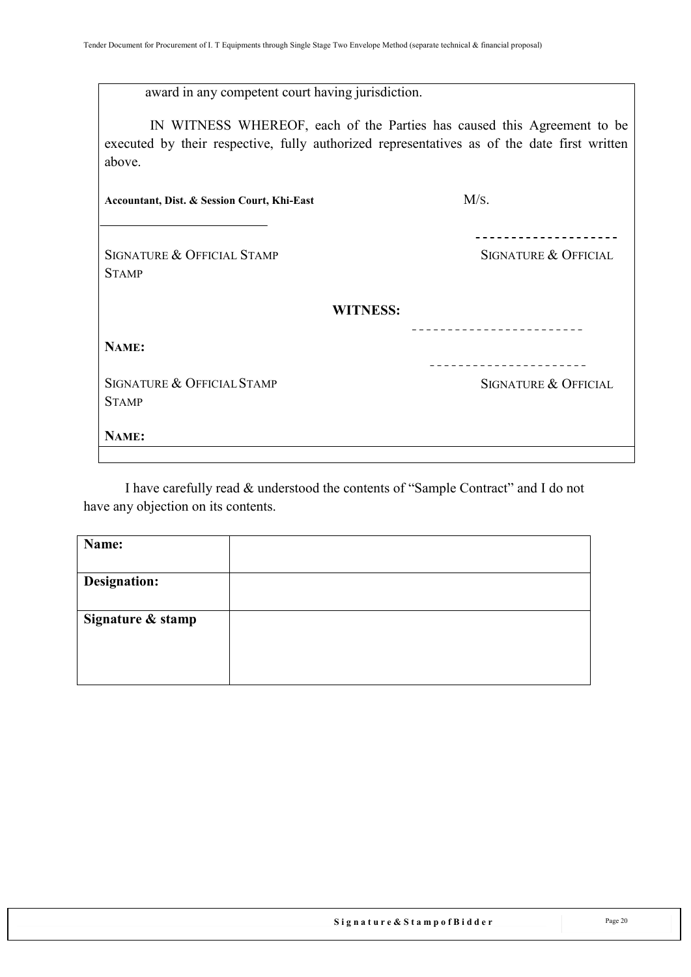|  | award in any competent court having jurisdiction. |  |  |
|--|---------------------------------------------------|--|--|
|  |                                                   |  |  |

IN WITNESS WHEREOF, each of the Parties has caused this Agreement to be executed by their respective, fully authorized representatives as of the date first written above.

| Accountant, Dist. & Session Court, Khi-East | M/s.                            |
|---------------------------------------------|---------------------------------|
| SIGNATURE & OFFICIAL STAMP<br><b>STAMP</b>  | <b>SIGNATURE &amp; OFFICIAL</b> |
|                                             | <b>WITNESS:</b>                 |
| NAME:                                       |                                 |
| SIGNATURE & OFFICIAL STAMP<br><b>STAMP</b>  | <b>SIGNATURE &amp; OFFICIAL</b> |
| NAME:                                       |                                 |

I have carefully read & understood the contents of "Sample Contract" and I do not have any objection on its contents.

| Name:               |  |
|---------------------|--|
|                     |  |
| <b>Designation:</b> |  |
|                     |  |
| Signature & stamp   |  |
|                     |  |
|                     |  |
|                     |  |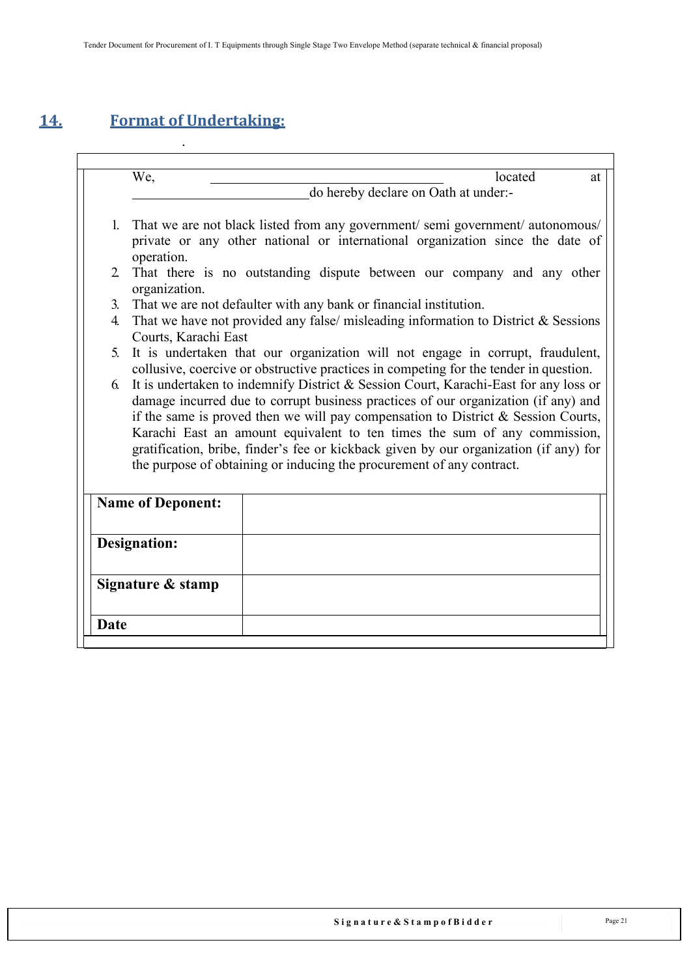# <span id="page-20-0"></span>**14. Format of Undertaking:**

.

We, 2008. Iocated at a located at a located at a located at a located at  $\frac{1}{2}$  at  $\frac{1}{2}$  at  $\frac{1}{2}$  at  $\frac{1}{2}$  at  $\frac{1}{2}$  at  $\frac{1}{2}$  at  $\frac{1}{2}$  at  $\frac{1}{2}$  at  $\frac{1}{2}$  at  $\frac{1}{2}$  at  $\frac{1}{2}$  at  $\frac{1}{$ do hereby declare on Oath at under:- 1. That we are not black listed from any government/ semi government/ autonomous/ private or any other national or international organization since the date of operation. 2. That there is no outstanding dispute between our company and any other organization. 3. That we are not defaulter with any bank or financial institution. 4. That we have not provided any false/ misleading information to District & Sessions Courts, Karachi East 5. It is undertaken that our organization will not engage in corrupt, fraudulent, collusive, coercive or obstructive practices in competing for the tender in question. 6. It is undertaken to indemnify District & Session Court, Karachi-East for any loss or damage incurred due to corrupt business practices of our organization (if any) and if the same is proved then we will pay compensation to District & Session Courts, Karachi East an amount equivalent to ten times the sum of any commission, gratification, bribe, finder's fee or kickback given by our organization (if any) for the purpose of obtaining or inducing the procurement of any contract. **Name of Deponent: Designation: Signature & stamp Date**